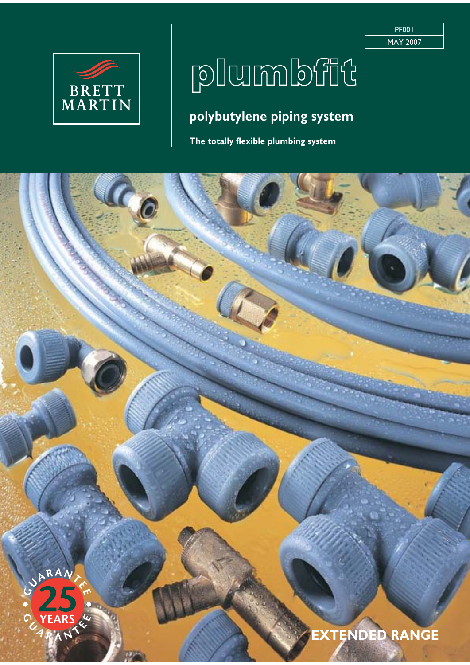

## plumbfit

PF001 MAY 2007

### **polybutylene piping system**

**The totally flexible plumbing system**

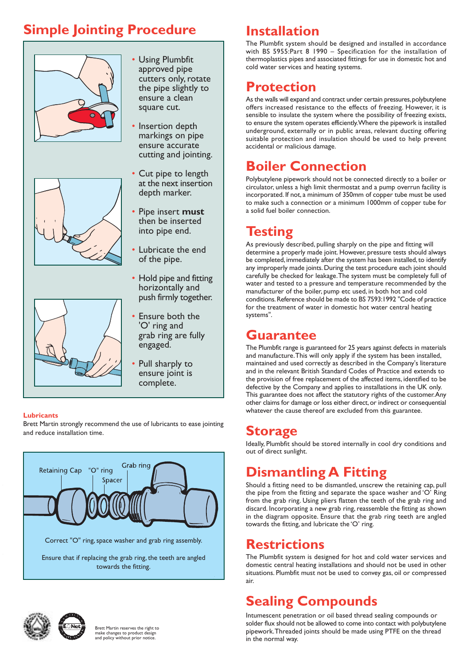### **Simple Jointing Procedure**







- Using Plumbfit approved pipe cutters only, rotate the pipe slightly to ensure a clean square cut.
- Insertion depth markings on pipe ensure accurate cutting and jointing.
- Cut pipe to length at the next insertion depth marker.
- Pipe insert **must** then be inserted into pipe end.
- Lubricate the end of the pipe.
- Hold pipe and fitting horizontally and push firmly together.
- Ensure both the 'O' ring and grab ring are fully engaged.
- Pull sharply to ensure joint is complete.

#### **Lubricants**

Brett Martin strongly recommend the use of lubricants to ease jointing and reduce installation time.





Brett Martin reserves the right to make changes to product design and policy without prior notice.

### **Installation**

The Plumbfit system should be designed and installed in accordance with BS 5955:Part 8 1990 – Specification for the installation of thermoplastics pipes and associated fittings for use in domestic hot and cold water services and heating systems.

### **Protection**

As the walls will expand and contract under certain pressures, polybutylene offers increased resistance to the effects of freezing. However, it is sensible to insulate the system where the possibility of freezing exists, to ensure the system operates efficiently. Where the pipework is installed underground, externally or in public areas, relevant ducting offering suitable protection and insulation should be used to help prevent accidental or malicious damage.

### **Boiler Connection**

Polybutylene pipework should not be connected directly to a boiler or circulator, unless a high limit thermostat and a pump overrun facility is incorporated. If not, a minimum of 350mm of copper tube must be used to make such a connection or a minimum 1000mm of copper tube for a solid fuel boiler connection.

### **Testing**

As previously described, pulling sharply on the pipe and fitting will determine a properly made joint. However, pressure tests should always be completed, immediately after the system has been installed, to identify any improperly made joints. During the test procedure each joint should carefully be checked for leakage. The system must be completely full of water and tested to a pressure and temperature recommended by the manufacturer of the boiler, pump etc used, in both hot and cold conditions. Reference should be made to BS 7593:1992 "Code of practice for the treatment of water in domestic hot water central heating systems".

### **Guarantee**

The Plumbfit range is guaranteed for 25 years against defects in materials and manufacture. This will only apply if the system has been installed, maintained and used correctly as described in the Company's literature and in the relevant British Standard Codes of Practice and extends to the provision of free replacement of the affected items, identified to be defective by the Company and applies to installations in the UK only. This guarantee does not affect the statutory rights of the customer. Any other claims for damage or loss either direct, or indirect or consequential whatever the cause thereof are excluded from this guarantee.

### **Storage**

Ideally, Plumbfit should be stored internally in cool dry conditions and out of direct sunlight.

### **Dismantling A Fitting**

Should a fitting need to be dismantled, unscrew the retaining cap, pull the pipe from the fitting and separate the space washer and 'O' Ring from the grab ring. Using pliers flatten the teeth of the grab ring and discard. Incorporating a new grab ring, reassemble the fitting as shown in the diagram opposite. Ensure that the grab ring teeth are angled towards the fitting, and lubricate the 'O' ring.

### **Restrictions**

The Plumbfit system is designed for hot and cold water services and domestic central heating installations and should not be used in other situations. Plumbfit must not be used to convey gas, oil or compressed air.

### **Sealing Compounds**

Intumescent penetration or oil based thread sealing compounds or solder flux should not be allowed to come into contact with polybutylene pipework. Threaded joints should be made using PTFE on the thread in the normal way.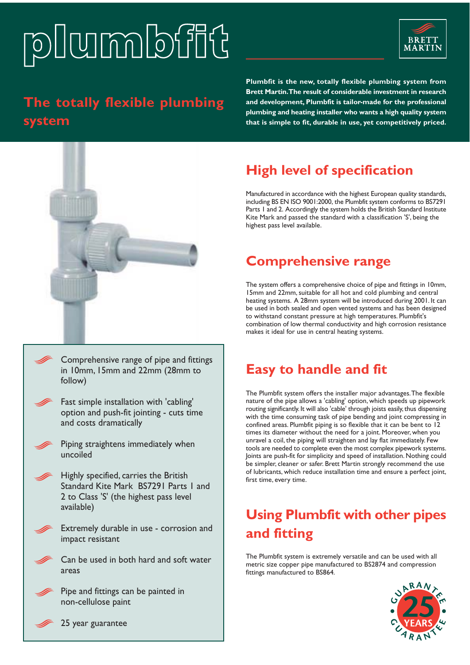# 



### **The totally flexible plumbing system**

**Plumbfit is the new, totally flexible plumbing system from Brett Martin. The result of considerable investment in research and development, Plumbfit is tailor-made for the professional plumbing and heating installer who wants a high quality system that is simple to fit, durable in use, yet competitively priced.**

### **High level of specification**

Manufactured in accordance with the highest European quality standards, including BS EN ISO 9001:2000, the Plumbfit system conforms to BS7291 Parts 1 and 2. Accordingly the system holds the British Standard Institute Kite Mark and passed the standard with a classification 'S', being the highest pass level available.

### **Comprehensive range**

The system offers a comprehensive choice of pipe and fittings in 10mm, 15mm and 22mm, suitable for all hot and cold plumbing and central heating systems. A 28mm system will be introduced during 2001. It can be used in both sealed and open vented systems and has been designed to withstand constant pressure at high temperatures. Plumbfit's combination of low thermal conductivity and high corrosion resistance makes it ideal for use in central heating systems.

- Comprehensive range of pipe and fittings in 10mm, 15mm and 22mm (28mm to follow)
- Fast simple installation with 'cabling' option and push-fit jointing - cuts time and costs dramatically
- Piping straightens immediately when uncoiled
- Highly specified, carries the British Standard Kite Mark BS7291 Parts 1 and 2 to Class 'S' (the highest pass level available)
- Extremely durable in use corrosion and impact resistant
	- Can be used in both hard and soft water areas
	- Pipe and fittings can be painted in non-cellulose paint

### **Easy to handle and fit**

The Plumbfit system offers the installer major advantages. The flexible nature of the pipe allows a 'cabling' option, which speeds up pipework routing significantly. It will also 'cable' through joists easily, thus dispensing with the time consuming task of pipe bending and joint compressing in confined areas. Plumbfit piping is so flexible that it can be bent to 12 times its diameter without the need for a joint. Moreover, when you unravel a coil, the piping will straighten and lay flat immediately. Few tools are needed to complete even the most complex pipework systems. Joints are push-fit for simplicity and speed of installation. Nothing could be simpler, cleaner or safer. Brett Martin strongly recommend the use of lubricants, which reduce installation time and ensure a perfect joint, first time, every time.

### **Using Plumbfit with other pipes and fitting**

The Plumbfit system is extremely versatile and can be used with all metric size copper pipe manufactured to BS2874 and compression fittings manufactured to BS864.



25 year guarantee